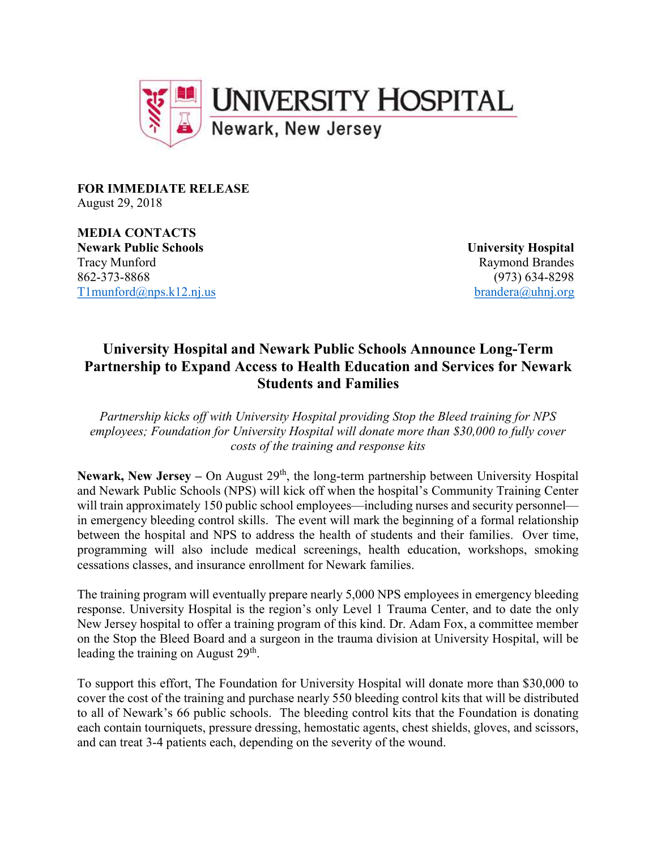

FOR IMMEDIATE RELEASE August 29, 2018

MEDIA CONTACTS Newark Public Schools University Hospital Tracy Munford Raymond Brandes 862-373-8868 (973) 634-8298 T1munford@nps.k12.nj.us brandera@uhnj.org

## University Hospital and Newark Public Schools Announce Long-Term Partnership to Expand Access to Health Education and Services for Newark Students and Families

Partnership kicks off with University Hospital providing Stop the Bleed training for NPS employees; Foundation for University Hospital will donate more than \$30,000 to fully cover costs of the training and response kits

Newark, New Jersey – On August  $29<sup>th</sup>$ , the long-term partnership between University Hospital and Newark Public Schools (NPS) will kick off when the hospital's Community Training Center will train approximately 150 public school employees—including nurses and security personnel in emergency bleeding control skills. The event will mark the beginning of a formal relationship between the hospital and NPS to address the health of students and their families. Over time, programming will also include medical screenings, health education, workshops, smoking cessations classes, and insurance enrollment for Newark families.

The training program will eventually prepare nearly 5,000 NPS employees in emergency bleeding response. University Hospital is the region's only Level 1 Trauma Center, and to date the only New Jersey hospital to offer a training program of this kind. Dr. Adam Fox, a committee member on the Stop the Bleed Board and a surgeon in the trauma division at University Hospital, will be leading the training on August  $29<sup>th</sup>$ .

To support this effort, The Foundation for University Hospital will donate more than \$30,000 to cover the cost of the training and purchase nearly 550 bleeding control kits that will be distributed to all of Newark's 66 public schools. The bleeding control kits that the Foundation is donating each contain tourniquets, pressure dressing, hemostatic agents, chest shields, gloves, and scissors, and can treat 3-4 patients each, depending on the severity of the wound.